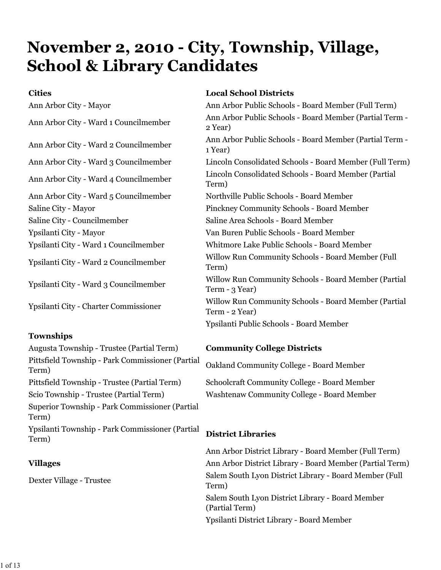# **November 2, 2010 - City, Township, Village, School & Library Candidates**

Ann Arbor City - Ward 5 Councilmember Northville Public Schools - Board Member Saline City - Councilmember Saline Area Schools - Board Member Ypsilanti City - Mayor Van Buren Public Schools - Board Member

#### **Townships**

Augusta Township - Trustee (Partial Term) **Community College Districts** Pittsfield Township - Park Commissioner (Partial Trushchd Township - Tark Commissioner (Tartian Oakland Community College - Board Member<br>Term) Pittsfield Township - Trustee (Partial Term) Schoolcraft Community College - Board Member Scio Township - Trustee (Partial Term) Washtenaw Community College - Board Member Superior Township - Park Commissioner (Partial Term) Ypsilanti Township - Park Commissioner (Partial Term) **District Libraries**

### **Cities Local School Districts**

Ann Arbor City - Mayor Ann Arbor Public Schools - Board Member (Full Term) Ann Arbor City - Ward 1 Councilmember Ann Arbor Public Schools - Board Member (Partial Term -2 Year) Ann Arbor City - Ward 2 Councilmember Ann Arbor Public Schools - Board Member (Partial Term -1 Year) Ann Arbor City - Ward 3 Councilmember Lincoln Consolidated Schools - Board Member (Full Term) Ann Arbor City - Ward 4 Councilmember Lincoln Consolidated Schools - Board Member (Partial Term) Saline City - Mayor Pinckney Community Schools - Board Member Ypsilanti City - Ward 1 Councilmember Whitmore Lake Public Schools - Board Member Ypsilanti City - Ward 2 Councilmember Willow Run Community Schools - Board Member (Full Term) Ypsilanti City - Ward 3 Councilmember Willow Run Community Schools - Board Member (Partial Term - 3 Year) Ypsilanti City - Charter Commissioner Willow Run Community Schools - Board Member (Partial Term - 2 Year) Ypsilanti Public Schools - Board Member

Ann Arbor District Library - Board Member (Full Term) **Villages Ann Arbor District Library - Board Member (Partial Term)** Dexter Village - Trustee Salem South Lyon District Library - Board Member (Full Term) Salem South Lyon District Library - Board Member (Partial Term) Ypsilanti District Library - Board Member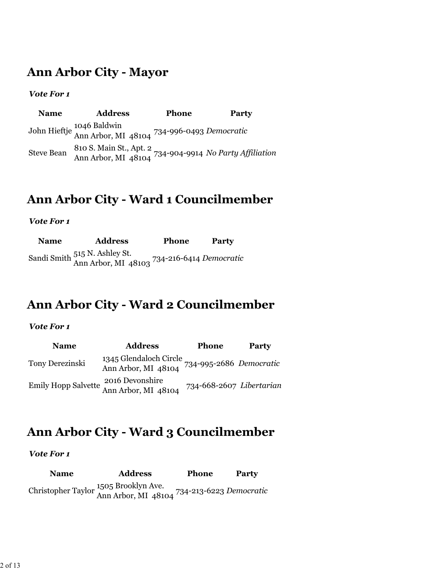### **Ann Arbor City - Mayor**

#### *Vote For 1*

**Name Address Phone Party** John Hieftje 1046 Baldwin Ann Arbor, MI 48104 734-996-0493 *Democratic* Steve Bean 810 S. Main St., Apt. 2 Ann Arbor, MI 48104 734-904-9914 *No Party Affiliation*

### **Ann Arbor City - Ward 1 Councilmember**

#### *Vote For 1*

| Name | <b>Address</b>                                                               | <b>Phone</b> | Party |
|------|------------------------------------------------------------------------------|--------------|-------|
|      | Sandi Smith 515 N. Ashley St.<br>Ann Arbor, MI 48103 734-216-6414 Democratic |              |       |

### **Ann Arbor City - Ward 2 Councilmember**

#### *Vote For 1*

| <b>Name</b>     | <b>Address</b>                                                        | <b>Phone</b>             | <b>Party</b> |
|-----------------|-----------------------------------------------------------------------|--------------------------|--------------|
| Tony Derezinski | 1345 Glendaloch Circle<br>Ann Arbor, MI 48104 734-995-2686 Democratic |                          |              |
|                 | Emily Hopp Salvette 2016 Devonshire<br>Ann Arbor, MI 48104            | 734-668-2607 Libertarian |              |

### **Ann Arbor City - Ward 3 Councilmember**

#### *Vote For 1*

**Name Address Phone Party** Christopher Taylor 1505 Brooklyn Ave. Ann Arbor, MI 48104 734-213-6223 *Democratic*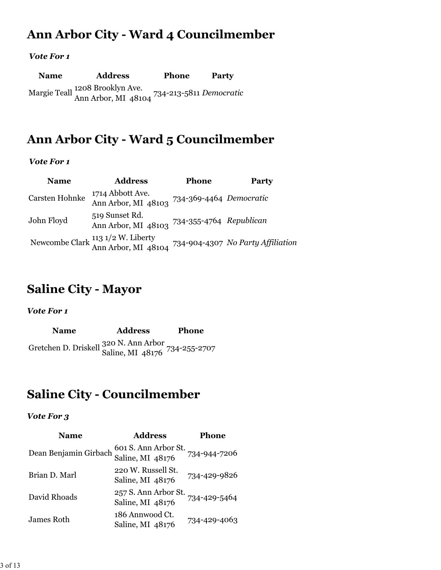### **Ann Arbor City - Ward 4 Councilmember**

#### *Vote For 1*

| <b>Name</b> | <b>Address</b>                                                                 | <b>Phone</b> | Party |
|-------------|--------------------------------------------------------------------------------|--------------|-------|
|             | Margie Teall 1208 Brooklyn Ave.<br>Ann Arbor, MI 48104 734-213-5811 Democratic |              |       |

### **Ann Arbor City - Ward 5 Councilmember**

#### *Vote For 1*

| <b>Name</b>    | <b>Address</b>                                                                                          | <b>Phone</b>            | <b>Party</b> |
|----------------|---------------------------------------------------------------------------------------------------------|-------------------------|--------------|
| Carsten Hohnke | 1714 Abbott Ave.<br>Ann Arbor, MI 48103                                                                 | 734-369-4464 Democratic |              |
| John Floyd     | 519 Sunset Rd.<br>Ann Arbor, MI 48103 734-355-4764 Republican                                           |                         |              |
|                | Newcombe Clark $\frac{113 \frac{1}{2} W}{\text{Ann Arbor, MI}}$ 48104 734-904-4307 No Party Affiliation |                         |              |

### **Saline City - Mayor**

*Vote For 1*

**Name Address Phone** Gretchen D. Driskell 320 N. Ann Arbor Saline, MI 48176 734-255-2707

### **Saline City - Councilmember**

| <b>Name</b>           | <b>Address</b>                           | Phone        |
|-----------------------|------------------------------------------|--------------|
| Dean Benjamin Girbach | 601 S. Ann Arbor St.<br>Saline, MI 48176 | 734-944-7206 |
| Brian D. Marl         | 220 W. Russell St.<br>Saline, MI 48176   | 734-429-9826 |
| David Rhoads          | 257 S. Ann Arbor St.<br>Saline, MI 48176 | 734-429-5464 |
| James Roth            | 186 Annwood Ct.<br>Saline, MI 48176      | 734-429-4063 |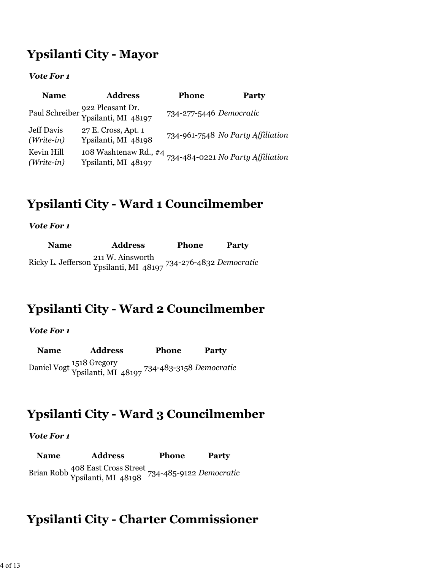### **Ypsilanti City - Mayor**

*Vote For 1*

| <b>Name</b>                | <b>Address</b>                                         | <b>Phone</b>            | <b>Party</b>                      |
|----------------------------|--------------------------------------------------------|-------------------------|-----------------------------------|
|                            | Paul Schreiber 922 Pleasant Dr.<br>Ypsilanti, MI 48197 | 734-277-5446 Democratic |                                   |
| Jeff Davis<br>$(Write-in)$ | 27 E. Cross, Apt. 1<br>Ypsilanti, MI 48198             |                         | 734-961-7548 No Party Affiliation |
| Kevin Hill<br>$(Write-in)$ | 108 Washtenaw Rd., #4<br>Ypsilanti, MI 48197           |                         | 734-484-0221 No Party Affiliation |

### **Ypsilanti City - Ward 1 Councilmember**

*Vote For 1*

| <b>Name</b> | <b>Address</b>                                                                                           | <b>Phone</b> | Party |
|-------------|----------------------------------------------------------------------------------------------------------|--------------|-------|
|             | Ricky L. Jefferson <sup>211</sup> W. Ainsworth<br>Ypsilanti, MI 48197 <sup>734-276-4832 Democratic</sup> |              |       |

### **Ypsilanti City - Ward 2 Councilmember**

#### *Vote For 1*

**Name Address Phone Party** Daniel Vogt 1518 Gregory Ypsilanti, MI 48197 734-483-3158 *Democratic*

### **Ypsilanti City - Ward 3 Councilmember**

#### *Vote For 1*

**Name Address Phone Party** Brian Robb 408 East Cross Street Ypsilanti, MI 48198 734-485-9122 *Democratic*

### **Ypsilanti City - Charter Commissioner**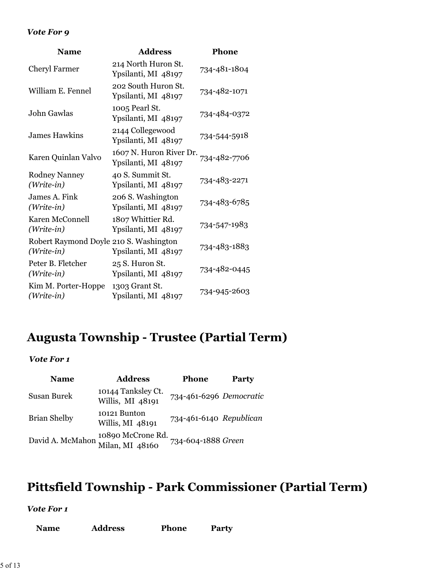#### *Vote For 9*

| <b>Name</b>                                          | <b>Address</b>                                 | <b>Phone</b> |
|------------------------------------------------------|------------------------------------------------|--------------|
| <b>Cheryl Farmer</b>                                 | 214 North Huron St.<br>Ypsilanti, MI 48197     | 734-481-1804 |
| William E. Fennel                                    | 202 South Huron St.<br>Ypsilanti, MI 48197     | 734-482-1071 |
| John Gawlas                                          | 1005 Pearl St.<br>Ypsilanti, MI 48197          | 734-484-0372 |
| <b>James Hawkins</b>                                 | 2144 Collegewood<br>Ypsilanti, MI 48197        | 734-544-5918 |
| Karen Quinlan Valvo                                  | 1607 N. Huron River Dr.<br>Ypsilanti, MI 48197 | 734-482-7706 |
| <b>Rodney Nanney</b><br>(Write-in)                   | 40 S. Summit St.<br>Ypsilanti, MI 48197        | 734-483-2271 |
| James A. Fink<br>(Write-in)                          | 206 S. Washington<br>Ypsilanti, MI 48197       | 734-483-6785 |
| Karen McConnell<br>(Write-in)                        | 1807 Whittier Rd.<br>Ypsilanti, MI 48197       | 734-547-1983 |
| Robert Raymond Doyle 210 S. Washington<br>(Write-in) | Ypsilanti, MI 48197                            | 734-483-1883 |
| Peter B. Fletcher<br>(Write-in)                      | 25 S. Huron St.<br>Ypsilanti, MI 48197         | 734-482-0445 |
| Kim M. Porter-Hoppe<br>(Write-in)                    | 1303 Grant St.<br>Ypsilanti, MI 48197          | 734-945-2603 |

### **Augusta Township - Trustee (Partial Term)**

*Vote For 1*

| <b>Name</b>         | <b>Address</b>                                        | Phone                   | <b>Party</b> |
|---------------------|-------------------------------------------------------|-------------------------|--------------|
| Susan Burek         | 10144 Tanksley Ct.<br>Willis, MI 48191                | 734-461-6296 Democratic |              |
| <b>Brian Shelby</b> | 10121 Bunton<br>Willis, MI 48191                      | 734-461-6140 Republican |              |
|                     | David A. McMahon 10890 McCrone Rd.<br>Milan, MI 48160 | 734-604-1888 Green      |              |

## **Pittsfield Township - Park Commissioner (Partial Term)**

| <b>Name</b> | <b>Address</b> | <b>Phone</b> | <b>Party</b> |
|-------------|----------------|--------------|--------------|
|-------------|----------------|--------------|--------------|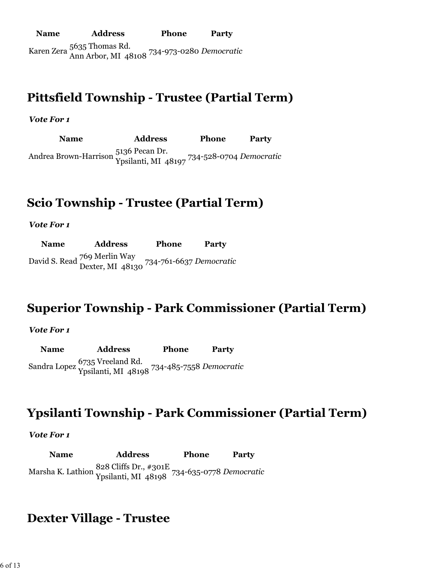**Name Address Phone Party** Karen Zera 5635 Thomas Rd. Ann Arbor, MI 48108 734-973-0280 *Democratic*

### **Pittsfield Township - Trustee (Partial Term)**

*Vote For 1*

**Name Address Phone Party** Andrea Brown-Harrison 5136 Pecan Dr. Ypsilanti, MI 48197 734-528-0704 *Democratic*

### **Scio Township - Trustee (Partial Term)**

*Vote For 1*

**Name Address Phone Party** David S. Read 769 Merlin Way Dexter, MI 48130 734-761-6637 *Democratic*

### **Superior Township - Park Commissioner (Partial Term)**

#### *Vote For 1*

**Name Address Phone Party** Sandra Lopez 6735 Vreeland Rd. Ypsilanti, MI 48198 734-485-7558 *Democratic*

### **Ypsilanti Township - Park Commissioner (Partial Term)**

#### *Vote For 1*

**Name Address Phone Party** Marsha K. Lathion 828 Cliffs Dr., #301E Ypsilanti, MI 48198 734-635-0778 *Democratic*

### **Dexter Village - Trustee**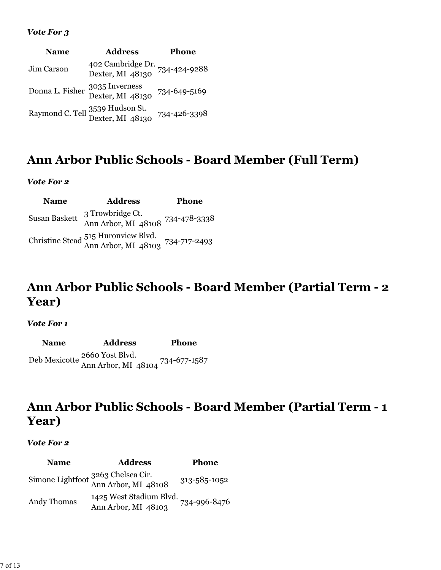#### *Vote For 3*

| <b>Name</b> | <b>Address</b>                                                   | <b>Phone</b> |
|-------------|------------------------------------------------------------------|--------------|
| Jim Carson  | 402 Cambridge Dr. 734-424-9288<br>Dexter, MI 48130               |              |
|             | Donna L. Fisher 3035 Inverness<br>Dexter, MI 48130               | 734-649-5169 |
|             | Raymond C. Tell 3539 Hudson St.<br>Dexter, MI 48130 734-426-3398 |              |

### **Ann Arbor Public Schools - Board Member (Full Term)**

#### *Vote For 2*

| <b>Name</b>   | <b>Address</b>                                                          | Phone |
|---------------|-------------------------------------------------------------------------|-------|
| Susan Baskett | 3 Trowbridge Ct.<br>Ann Arbor, MI 48108 734-478-3338                    |       |
|               | Christine Stead 515 Huronview Blvd.<br>Ann Arbor, MI 48103 734-717-2493 |       |

### **Ann Arbor Public Schools - Board Member (Partial Term - 2 Year)**

#### *Vote For 1*

**Name Address Phone** Deb Mexicotte 2660 Yost Blvd. Ann Arbor, MI 48104 734-677-1587

### **Ann Arbor Public Schools - Board Member (Partial Term - 1 Year)**

#### *Vote For 2*

**Name Address Phone** Simone Lightfoot 3263 Chelsea Cir. Ann Arbor, MI 48108 313-585-1052 Andy Thomas 1425 West Stadium Blvd. Ann Arbor, MI 48103 734-996-8476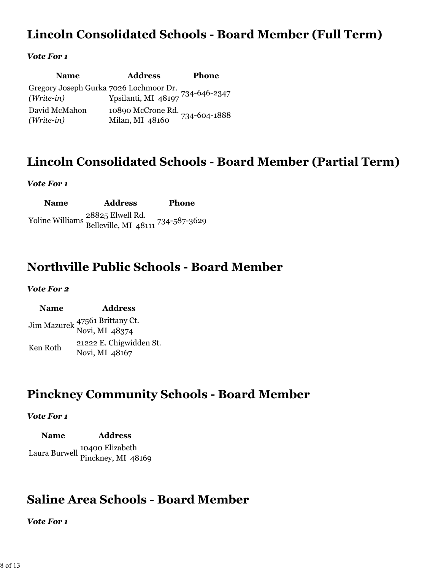### **Lincoln Consolidated Schools - Board Member (Full Term)**

#### *Vote For 1*

| <b>Name</b>                                                                           | <b>Address</b>                                    | <b>Phone</b> |
|---------------------------------------------------------------------------------------|---------------------------------------------------|--------------|
| Gregory Joseph Gurka 7026 Lochmoor Dr.<br>(Write-in) Ypsilanti, MI 48197 734-646-2347 |                                                   |              |
| David McMahon<br>$(Write-in)$                                                         | 10890 McCrone Rd. 734-604-1888<br>Milan, MI 48160 |              |

### **Lincoln Consolidated Schools - Board Member (Partial Term)**

#### *Vote For 1*

**Name Address Phone** Yoline Williams 28825 Elwell Rd. Belleville, MI 48111 734-587-3629

### **Northville Public Schools - Board Member**

#### *Vote For 2*

| <b>Name</b> | <b>Address</b>                                   |
|-------------|--------------------------------------------------|
|             | Jim Mazurek 47561 Brittany Ct.<br>Novi, MI 48374 |
| Ken Roth    | 21222 E. Chigwidden St.<br>Novi, MI 48167        |

### **Pinckney Community Schools - Board Member**

#### *Vote For 1*

**Name Address**  Laura Burwell 10400 Elizabeth Pinckney, MI 48169

### **Saline Area Schools - Board Member**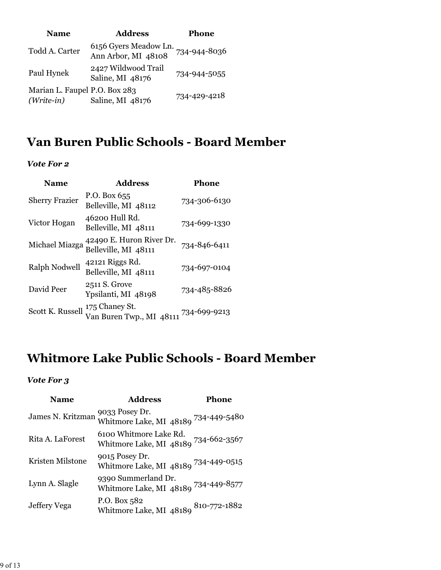| <b>Name</b>                                   | <b>Address</b>                               | <b>Phone</b> |
|-----------------------------------------------|----------------------------------------------|--------------|
| Todd A. Carter                                | 6156 Gyers Meadow Ln.<br>Ann Arbor, MI 48108 | 734-944-8036 |
| Paul Hynek                                    | 2427 Wildwood Trail<br>Saline, MI 48176      | 734-944-5055 |
| Marian L. Faupel P.O. Box 283<br>$(Write-in)$ | Saline, MI 48176                             | 734-429-4218 |

### **Van Buren Public Schools - Board Member**

### *Vote For 2*

| <b>Name</b>           | <b>Address</b>                                   | Phone        |
|-----------------------|--------------------------------------------------|--------------|
| <b>Sherry Frazier</b> | P.O. Box $655$<br>Belleville, MI 48112           | 734-306-6130 |
| Victor Hogan          | 46200 Hull Rd.<br>Belleville, MI 48111           | 734-699-1330 |
| Michael Miazga        | 42490 E. Huron River Dr.<br>Belleville, MI 48111 | 734-846-6411 |
| <b>Ralph Nodwell</b>  | 42121 Riggs Rd.<br>Belleville, MI 48111          | 734-697-0104 |
| David Peer            | 2511 S. Grove<br>Ypsilanti, MI 48198             | 734-485-8826 |
| Scott K. Russell      | 175 Chaney St.<br>Van Buren Twp., MI 48111       | 734-699-9213 |

### **Whitmore Lake Public Schools - Board Member**

| <b>Name</b>       | <b>Address</b>                                                 | Phone        |
|-------------------|----------------------------------------------------------------|--------------|
| James N. Kritzman | 9033 Posey Dr.<br>Whitmore Lake, MI 48189 734-449-5480         |              |
| Rita A. LaForest  | 6100 Whitmore Lake Rd.<br>Whitmore Lake, MI 48189 734-662-3567 |              |
| Kristen Milstone  | 9015 Posey Dr.<br>Whitmore Lake, MI 48189 734-449-0515         |              |
| Lynn A. Slagle    | 9390 Summerland Dr.<br>Whitmore Lake, MI 48189 734-449-8577    |              |
| Jeffery Vega      | P.O. Box 582<br>Whitmore Lake, MI 48189                        | 810-772-1882 |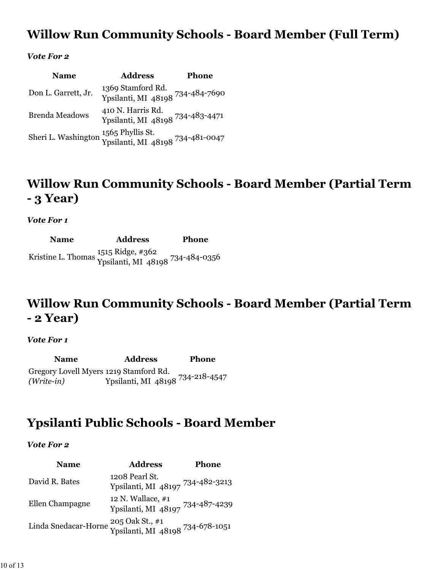### **Willow Run Community Schools - Board Member (Full Term)**

#### *Vote For 2*

| <b>Name</b>                                                                              | <b>Address</b>                                        | <b>Phone</b> |
|------------------------------------------------------------------------------------------|-------------------------------------------------------|--------------|
| Don L. Garrett, Jr.                                                                      | 1369 Stamford Rd.<br>Ypsilanti, MI 48198 734-484-7690 |              |
| <b>Brenda Meadows</b>                                                                    | 410 N. Harris Rd.<br>Ypsilanti, MI 48198 734-483-4471 |              |
| Sheri L. Washington 1565 Phyllis St. Ypsilanti, MI 48198 $^{734\text{-}481\text{-}0047}$ |                                                       |              |

### **Willow Run Community Schools - Board Member (Partial Term - 3 Year)**

#### *Vote For 1*

**Name Address Phone** Kristine L. Thomas 1515 Ridge, #362 Ypsilanti, MI 48198 734-484-0356

### **Willow Run Community Schools - Board Member (Partial Term - 2 Year)**

#### *Vote For 1*

**Name Address Phone** Gregory Lovell Myers 1219 Stamford Rd. *(Write-in)* Ypsilanti, MI 48198 734-218-4547

### **Ypsilanti Public Schools - Board Member**

| <b>Name</b>                                                              | <b>Address</b>                                        | <b>Phone</b> |
|--------------------------------------------------------------------------|-------------------------------------------------------|--------------|
| David R. Bates                                                           | 1208 Pearl St.<br>Ypsilanti, MI 48197 734-482-3213    |              |
| Ellen Champagne                                                          | 12 N. Wallace, #1<br>Ypsilanti, MI 48197 734-487-4239 |              |
| Linda Snedacar-Horne 205 Oak St., #1<br>Ypsilanti, MI 48198 734-678-1051 |                                                       |              |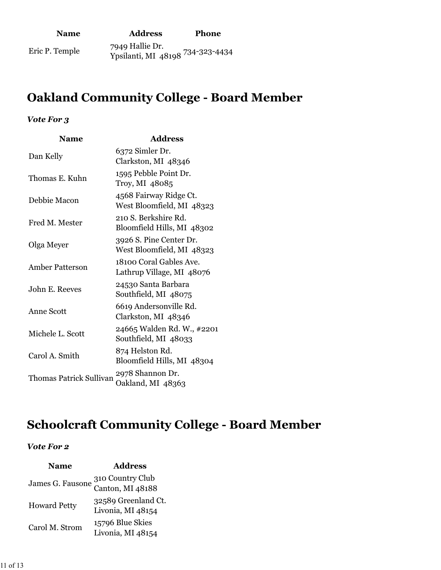| <b>Name</b>    | <b>Address</b>                                      | <b>Phone</b> |
|----------------|-----------------------------------------------------|--------------|
| Eric P. Temple | 7949 Hallie Dr.<br>Ypsilanti, MI 48108 734-323-4434 |              |

## **Oakland Community College - Board Member**

### *Vote For 3*

| <b>Name</b>                    | <b>Address</b>                                       |
|--------------------------------|------------------------------------------------------|
| Dan Kelly                      | 6372 Simler Dr.<br>Clarkston, MI 48346               |
| Thomas E. Kuhn                 | 1595 Pebble Point Dr.<br>Troy, MI 48085              |
| Debbie Macon                   | 4568 Fairway Ridge Ct.<br>West Bloomfield, MI 48323  |
| Fred M. Mester                 | 210 S. Berkshire Rd.<br>Bloomfield Hills, MI 48302   |
| Olga Meyer                     | 3926 S. Pine Center Dr.<br>West Bloomfield, MI 48323 |
| <b>Amber Patterson</b>         | 18100 Coral Gables Ave.<br>Lathrup Village, MI 48076 |
| John E. Reeves                 | 24530 Santa Barbara<br>Southfield, MI 48075          |
| Anne Scott                     | 6619 Andersonville Rd.<br>Clarkston, MI 48346        |
| Michele L. Scott               | 24665 Walden Rd. W., #2201<br>Southfield, MI 48033   |
| Carol A. Smith                 | 874 Helston Rd.<br>Bloomfield Hills, MI 48304        |
| <b>Thomas Patrick Sullivan</b> | 2978 Shannon Dr.<br>Oakland, MI 48363                |

### **Schoolcraft Community College - Board Member**

| <b>Name</b>         | <b>Address</b>                       |
|---------------------|--------------------------------------|
|                     | 310 Country Club<br>Canton, MI 48188 |
| James G. Fausone    |                                      |
| <b>Howard Petty</b> | 32589 Greenland Ct.                  |
|                     | Livonia, MI 48154                    |
| Carol M. Strom      | 15796 Blue Skies                     |
|                     | Livonia, MI 48154                    |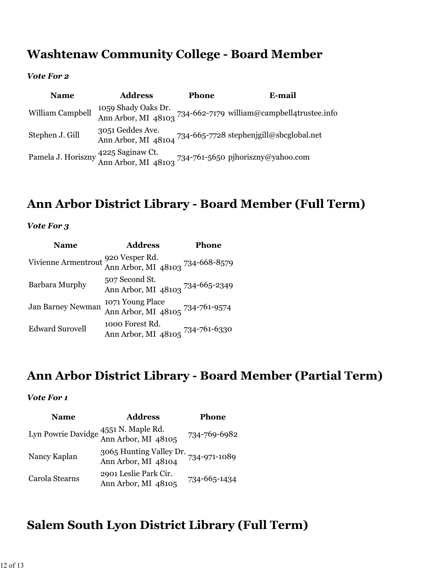### **Washtenaw Community College - Board Member**

#### *Vote For 2*

| <b>Name</b>      | <b>Address</b>   | <b>Phone</b> | E-mail                                                                                                             |
|------------------|------------------|--------------|--------------------------------------------------------------------------------------------------------------------|
| William Campbell |                  |              | 1059 Shady Oaks Dr.<br>Ann Arbor, MI 48103 734-662-7179 william@campbell4trustee.info                              |
| Stephen J. Gill  | 3051 Geddes Ave. |              | Ann Arbor, MI 48104 734-665-7728 stephenjgill@sbcglobal.net                                                        |
|                  |                  |              | Pamela J. Horiszny <sup>4225</sup> Saginaw Ct.<br>Ann Arbor, MI 48103 <sup>734-761-5650</sup> pjhoriszny@yahoo.com |

## **Ann Arbor District Library - Board Member (Full Term)**

### *Vote For 3*

| <b>Name</b>              | <b>Address</b>                                                         | Phone |
|--------------------------|------------------------------------------------------------------------|-------|
|                          | Vivienne Armentrout 920 Vesper Rd.<br>Ann Arbor, MI 48103 734-668-8579 |       |
| Barbara Murphy           | 507 Second St.<br>Ann Arbor, MI 48103 734-665-2349                     |       |
| <b>Jan Barney Newman</b> | 1071 Young Place<br>Ann Arbor, MI 48105 <sup>734-761-9574</sup>        |       |
| <b>Edward Surovell</b>   | 1000 Forest Rd.<br>Ann Arbor, MI 48105 734-761-6330                    |       |

### **Ann Arbor District Library - Board Member (Partial Term)**

#### *Vote For 1*

| <b>Name</b>    | <b>Address</b>                                              | Phone        |
|----------------|-------------------------------------------------------------|--------------|
|                | Lyn Powrie Davidge 4551 N. Maple Rd.<br>Ann Arbor, MI 48105 | 734-769-6982 |
| Nancy Kaplan   | 3065 Hunting Valley Dr.<br>Ann Arbor, MI 48104              | 734-971-1089 |
| Carola Stearns | 2901 Leslie Park Cir.<br>Ann Arbor, MI 48105                | 734-665-1434 |

### **Salem South Lyon District Library (Full Term)**